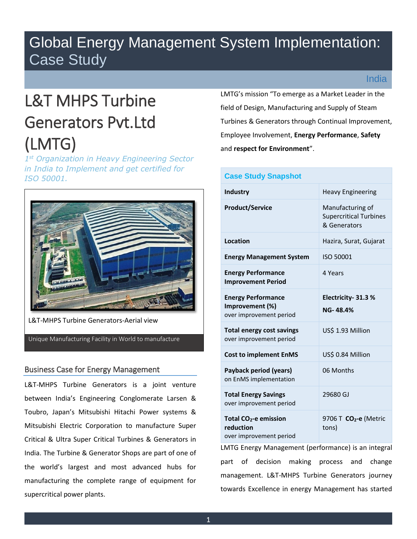# Global Energy Management System Implementation: Case Study

# L&T MHPS Turbine Generators Pvt.Ltd (LMTG)

*1 st Organization in Heavy Engineering Sector in India to Implement and get certified for ISO 50001.* 



L&T-MHPS Turbine Generators-Aerial view

Unique Manufacturing Facility in World to manufacture

# Business Case for Energy Management

L&T-MHPS Turbine Generators is a joint venture between India's Engineering Conglomerate Larsen & Toubro, Japan's Mitsubishi Hitachi Power systems & Mitsubishi Electric Corporation to manufacture Super Critical & Ultra Super Critical Turbines & Generators in India. The Turbine & Generator Shops are part of one of the world's largest and most advanced hubs for manufacturing the complete range of equipment for supercritical power plants.

LMTG's mission "To emerge as a Market Leader in the field of Design, Manufacturing and Supply of Steam Turbines & Generators through Continual Improvement, Employee Involvement, **Energy Performance**, **Safety** and **respect for Environment**".

# **Case Study Snapshot Industry Industry Industry Industry Industrial** *I* **Product/Service** Manufacturing of Supercritical Turbines & Generators **Location Hazira, Surat, Gujarat Energy Management System** ISO 50001 **Energy Performance Improvement Period**  4 Years **Energy Performance Improvement (%)** over improvement period **Electricity- 31.3 % NG- 48.4% Total energy cost savings** over improvement period US\$ 1.93 Million **Cost to implement EnMS** US\$ 0.84 Million **Payback period (years)** on EnMS implementation 06 Months **Total Energy Savings**  over improvement period 29680 GJ **Total CO2-e emission reduction**  over improvement period 9706 T **CO2-e** (Metric tons)

LMTG Energy Management (performance) is an integral part of decision making process and change management. L&T-MHPS Turbine Generators journey towards Excellence in energy Management has started

# India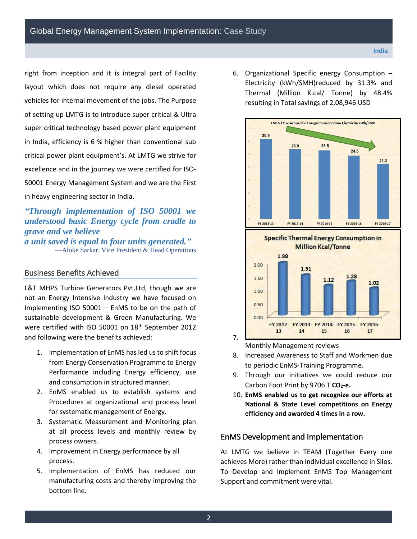right from inception and it is integral part of Facility layout which does not require any diesel operated vehicles for internal movement of the jobs. The Purpose of setting up LMTG is to introduce super critical & Ultra super critical technology based power plant equipment in India, efficiency is 6 % higher than conventional sub critical power plant equipment's. At LMTG we strive for excellence and in the journey we were certified for ISO-50001 Energy Management System and we are the First in heavy engineering sector in India.

*"Through implementation of ISO 50001 we understood basic Energy cycle from cradle to grave and we believe a unit saved is equal to four units generated."* —Aloke Sarkar, Vice President & Head Operations

# Business Benefits Achieved

L&T MHPS Turbine Generators Pvt.Ltd, though we are not an Energy Intensive Industry we have focused on Implementing ISO 50001 – EnMS to be on the path of sustainable development & Green Manufacturing. We were certified with ISO 50001 on 18th September 2012 and following were the benefits achieved:

- 1. Implementation of EnMS has led us to shift focus from Energy Conservation Programme to Energy Performance including Energy efficiency, use and consumption in structured manner.
- 2. EnMS enabled us to establish systems and Procedures at organizational and process level for systematic management of Energy.
- 3. Systematic Measurement and Monitoring plan at all process levels and monthly review by process owners.
- 4. Improvement in Energy performance by all process.
- 5. Implementation of EnMS has reduced our manufacturing costs and thereby improving the bottom line.

6. Organizational Specific energy Consumption – Electricity (kWh/SMH)reduced by 31.3% and Thermal (Million K.cal/ Tonne) by 48.4% resulting in Total savings of 2,08,946 USD



Monthly Management reviews

7.

- 8. Increased Awareness to Staff and Workmen due to periodic EnMS-Training Programme.
- 9. Through our initiatives we could reduce our Carbon Foot Print by 9706 T **CO2-e.**
- 10. **EnMS enabled us to get recognize our efforts at National & State Level competitions on Energy efficiency and awarded 4 times in a row.**

## EnMS Development and Implementation

At LMTG we believe in TEAM (Together Every one achieves More) rather than individual excellence in Silos. To Develop and implement EnMS Top Management Support and commitment were vital.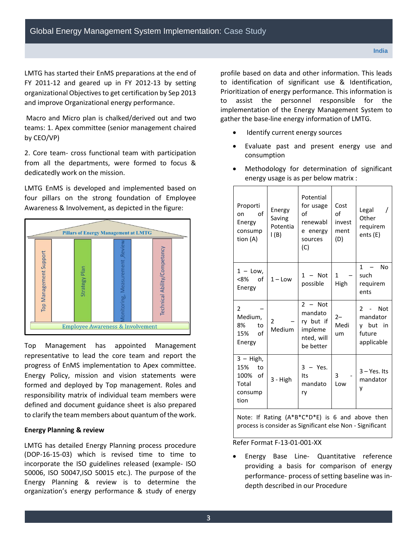LMTG has started their EnMS preparations at the end of FY 2011-12 and geared up in FY 2012-13 by setting organizational Objectives to get certification by Sep 2013 and improve Organizational energy performance.

 Macro and Micro plan is chalked/derived out and two teams: 1. Apex committee (senior management chaired by CEO/VP)

2. Core team- cross functional team with participation from all the departments, were formed to focus & dedicatedly work on the mission.

LMTG EnMS is developed and implemented based on four pillars on the strong foundation of Employee Awareness & Involvement, as depicted in the figure:



Top Management has appointed Management representative to lead the core team and report the progress of EnMS implementation to Apex committee. Energy Policy, mission and vision statements were formed and deployed by Top management. Roles and responsibility matrix of individual team members were defined and document guidance sheet is also prepared to clarify the team members about quantum of the work.

#### **Energy Planning & review**

LMTG has detailed Energy Planning process procedure (DOP-16-15-03) which is revised time to time to incorporate the ISO guidelines released (example- ISO 50006, ISO 50047,ISO 50015 etc.). The purpose of the Energy Planning & review is to determine the organization's energy performance & study of energy

profile based on data and other information. This leads to identification of significant use & Identification, Prioritization of energy performance. This information is to assist the personnel responsible for the implementation of the Energy Management System to gather the base-line energy information of LMTG.

- Identify current energy sources
- Evaluate past and present energy use and consumption

|  | Proporti<br>of<br>on<br>Energy<br>consump<br>tion (A)               | Energy<br>Saving<br>Potentia<br>l (B)             | Potential<br>for usage<br>of<br>renewabl<br>e energy<br>sources<br>(C)  | Cost<br>of<br>invest<br>ment<br>(D) | Legal<br>$\prime$<br>Other<br>requirem<br>ents (E)                                |  |
|--|---------------------------------------------------------------------|---------------------------------------------------|-------------------------------------------------------------------------|-------------------------------------|-----------------------------------------------------------------------------------|--|
|  | $1 -$ Low,<br><8%<br>of<br>Energy                                   | $1 -$ Low                                         | Not<br>1.<br>possible                                                   | 1<br>High                           | $\mathbf{1}$<br><b>No</b><br>$\overline{\phantom{m}}$<br>such<br>requirem<br>ents |  |
|  | 2<br>Medium,<br>8%<br>to<br>of<br>15%<br>Energy                     | 2<br>Medium                                       | $2 - Not$<br>mandato<br>ry but if<br>impleme<br>nted, will<br>be better | $2 -$<br>Medi<br>um                 | $\mathcal{P}$<br>Not<br>mandator<br>y but<br>in<br>future<br>applicable           |  |
|  | $3 - High$ ,<br>15%<br>to<br>100%<br>of<br>Total<br>consump<br>tion | 3 - High                                          | - Yes.<br>3<br>Its<br>mandato<br>ry                                     | 3<br>Low                            | $3 - Yes.$ Its<br>mandator<br>v                                                   |  |
|  | Note:<br>lf                                                         | $(A*B*C*D*E)$<br>is 6 and<br>Rating<br>above then |                                                                         |                                     |                                                                                   |  |

 Methodology for determination of significant energy usage is as per below matrix :

Refer Format F-13-01-001-XX

 Energy Base Line- Quantitative reference providing a basis for comparison of energy performance- process of setting baseline was indepth described in our Procedure

process is consider as Significant else Non - Significant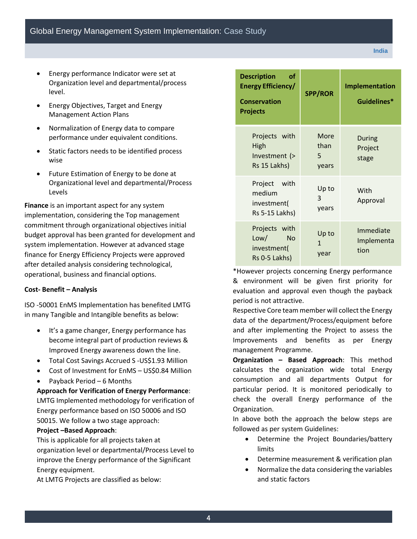- Energy performance Indicator were set at Organization level and departmental/process level.
- Energy Objectives, Target and Energy Management Action Plans
- Normalization of Energy data to compare performance under equivalent conditions.
- Static factors needs to be identified process wise
- Future Estimation of Energy to be done at Organizational level and departmental/Process Levels

**Finance** is an important aspect for any system implementation, considering the Top management commitment through organizational objectives initial budget approval has been granted for development and system implementation. However at advanced stage finance for Energy Efficiency Projects were approved after detailed analysis considering technological, operational, business and financial options.

#### **Cost- Benefit – Analysis**

ISO -50001 EnMS Implementation has benefited LMTG in many Tangible and Intangible benefits as below:

- It's a game changer, Energy performance has become integral part of production reviews & Improved Energy awareness down the line.
- Total Cost Savings Accrued S -US\$1.93 Million
- Cost of Investment for EnMS US\$0.84 Million
- Payback Period 6 Months

**Approach for Verification of Energy Performance**: LMTG Implemented methodology for verification of Energy performance based on ISO 50006 and ISO 50015. We follow a two stage approach:

## **Project –Based Approach**:

This is applicable for all projects taken at organization level or departmental/Process Level to improve the Energy performance of the Significant Energy equipment.

At LMTG Projects are classified as below:

| <b>Description</b><br>оf<br>Energy Efficiency/<br><b>Conservation</b><br><b>Projects</b> | <b>SPP/ROR</b>                | Implementation<br>Guidelines*   |  |
|------------------------------------------------------------------------------------------|-------------------------------|---------------------------------|--|
| Projects with<br>High<br>Investment (><br>Rs 15 Lakhs)                                   | More<br>than<br>5<br>years    | During<br>Project<br>stage      |  |
| Project with<br>medium<br>investment(<br>Rs 5-15 Lakhs)                                  | Up to<br>3<br>years           | With<br>Approval                |  |
| Projects with<br>Low/<br><b>No</b><br>investment(<br>Rs 0-5 Lakhs)<br>$*111$             | Up to<br>$\mathbf{1}$<br>year | Immediate<br>Implementa<br>tion |  |

\*However projects concerning Energy performance & environment will be given first priority for evaluation and approval even though the payback period is not attractive.

Respective Core team member will collect the Energy data of the department/Process/equipment before and after implementing the Project to assess the Improvements and benefits as per Energy management Programme.

**Organization – Based Approach**: This method calculates the organization wide total Energy consumption and all departments Output for particular period. It is monitored periodically to check the overall Energy performance of the Organization.

In above both the approach the below steps are followed as per system Guidelines:

- Determine the Project Boundaries/battery limits
- Determine measurement & verification plan
- Normalize the data considering the variables and static factors

**India**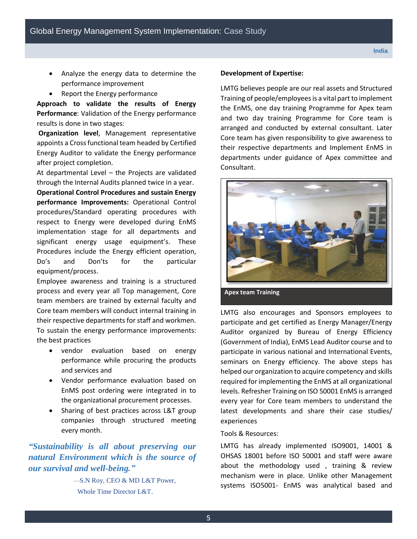- Analyze the energy data to determine the performance improvement
- Report the Energy performance

**Approach to validate the results of Energy Performance**: Validation of the Energy performance results is done in two stages:

 **Organization level**, Management representative appoints a Cross functional team headed by Certified Energy Auditor to validate the Energy performance after project completion.

At departmental Level – the Projects are validated through the Internal Audits planned twice in a year.

**Operational Control Procedures and sustain Energy performance Improvements:** Operational Control procedures/Standard operating procedures with respect to Energy were developed during EnMS implementation stage for all departments and significant energy usage equipment's. These Procedures include the Energy efficient operation, Do's and Don'ts for the particular equipment/process.

Employee awareness and training is a structured process and every year all Top management, Core team members are trained by external faculty and Core team members will conduct internal training in their respective departments for staff and workmen. To sustain the energy performance improvements: the best practices

- vendor evaluation based on energy performance while procuring the products and services and
- Vendor performance evaluation based on EnMS post ordering were integrated in to the organizational procurement processes.
- Sharing of best practices across L&T group companies through structured meeting every month.

*"Sustainability is all about preserving our natural Environment which is the source of our survival and well-being."*

> —S.N Roy, CEO & MD L&T Power, Whole Time Director L&T.

#### **Development of Expertise:**

LMTG believes people are our real assets and Structured Training of people/employees is a vital part to implement the EnMS, one day training Programme for Apex team and two day training Programme for Core team is arranged and conducted by external consultant. Later Core team has given responsibility to give awareness to their respective departments and Implement EnMS in departments under guidance of Apex committee and Consultant.



LMTG also encourages and Sponsors employees to participate and get certified as Energy Manager/Energy Auditor organized by Bureau of Energy Efficiency (Government of India), EnMS Lead Auditor course and to participate in various national and International Events, seminars on Energy efficiency. The above steps has helped our organization to acquire competency and skills required for implementing the EnMS at all organizational levels. Refresher Training on ISO 50001 EnMS is arranged every year for Core team members to understand the latest developments and share their case studies/ experiences

#### Tools & Resources:

LMTG has already implemented ISO9001, 14001 & OHSAS 18001 before ISO 50001 and staff were aware about the methodology used , training & review mechanism were in place. Unlike other Management systems ISO5001- EnMS was analytical based and